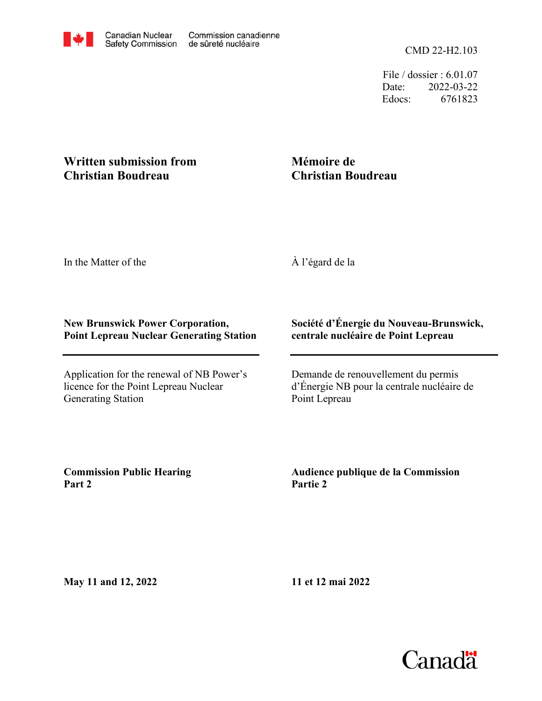File / dossier : 6.01.07 Date: 2022-03-22 Edocs: 6761823

## **Written submission from Christian Boudreau**

## **Mémoire de Christian Boudreau**

In the Matter of the

À l'égard de la

## **New Brunswick Power Corporation, Point Lepreau Nuclear Generating Station**

Application for the renewal of NB Power's licence for the Point Lepreau Nuclear Generating Station

## **Société d'Énergie du Nouveau-Brunswick, centrale nucléaire de Point Lepreau**

Demande de renouvellement du permis d'Énergie NB pour la centrale nucléaire de Point Lepreau

**Commission Public Hearing Part 2**

**Audience publique de la Commission Partie 2**

**May 11 and 12, 2022**

**11 et 12 mai 2022**